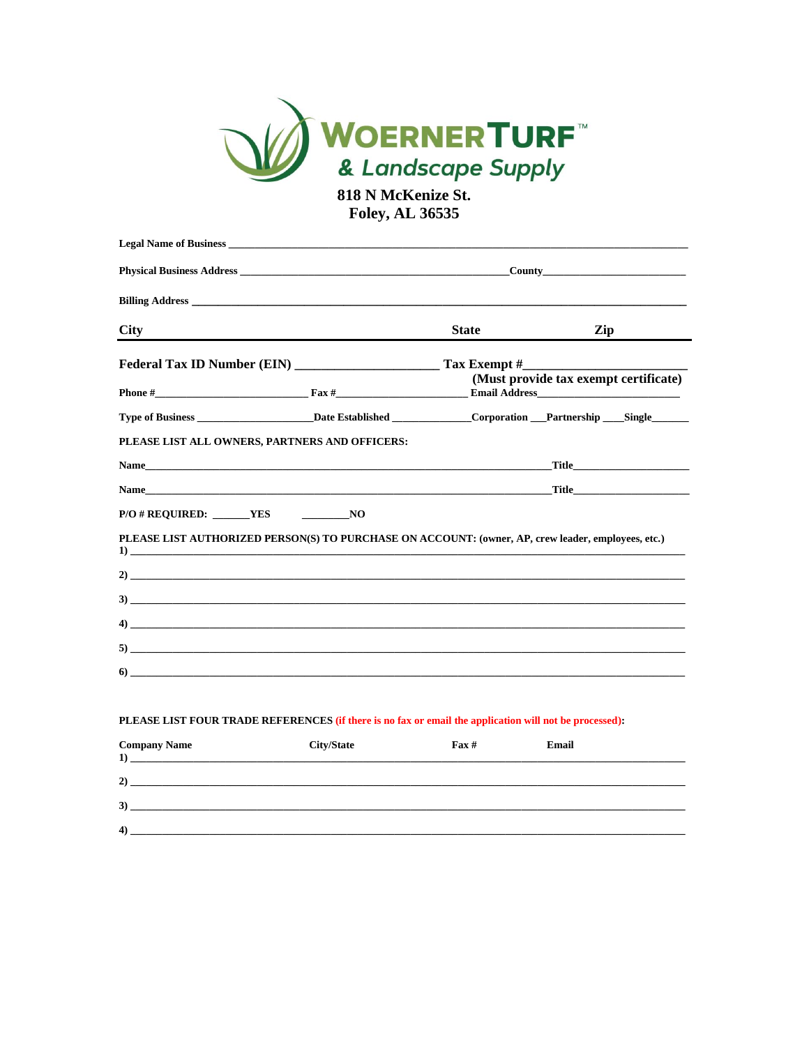

818 N McKenize St. **Foley, AL 36535** 

|                          | <b>Legal Name of Business Legal Name of Business Legal Name of Business Legal Name of Business Legal Name of Business Legal Name of Business Legal Name of Business Legal Name of Business Legal Name of Business Legal Name of </b> |                  |                                            |
|--------------------------|--------------------------------------------------------------------------------------------------------------------------------------------------------------------------------------------------------------------------------------|------------------|--------------------------------------------|
|                          |                                                                                                                                                                                                                                      | $\text{Country}$ |                                            |
|                          |                                                                                                                                                                                                                                      |                  |                                            |
| <b>City</b>              | the control of the control of the control of the control of the control of the control of the control of the control of the control of the control of the control of the control of the control of the control of the control        | <b>State</b>     | Zip                                        |
|                          |                                                                                                                                                                                                                                      |                  | (Must provide tax exempt certificate)      |
|                          |                                                                                                                                                                                                                                      |                  |                                            |
|                          |                                                                                                                                                                                                                                      |                  |                                            |
|                          | PLEASE LIST ALL OWNERS, PARTNERS AND OFFICERS:                                                                                                                                                                                       |                  |                                            |
|                          |                                                                                                                                                                                                                                      |                  | Title <b>Expansion Community Community</b> |
|                          | Name Title Theory of the Second Library and Second Library and Second Library and Second Library and Second Library and Second Library and Second Library and Second Library and Second Library and Second Library and Second        |                  |                                            |
| $P/O # REQUIRED:$ YES NO |                                                                                                                                                                                                                                      |                  |                                            |
|                          | PLEASE LIST AUTHORIZED PERSON(S) TO PURCHASE ON ACCOUNT: (owner, AP, crew leader, employees, etc.)                                                                                                                                   |                  |                                            |
|                          |                                                                                                                                                                                                                                      |                  |                                            |
|                          |                                                                                                                                                                                                                                      |                  |                                            |
|                          |                                                                                                                                                                                                                                      |                  |                                            |
|                          |                                                                                                                                                                                                                                      |                  |                                            |
|                          |                                                                                                                                                                                                                                      |                  |                                            |
|                          |                                                                                                                                                                                                                                      |                  |                                            |

# PLEASE LIST FOUR TRADE REFERENCES (if there is no fax or email the application will not be processed):

| <b>Company Name</b><br>$\bf{1}$<br><u> 1989 - Jan Barbara, manazarta bashkar a shekara ta 1989 - Andrea Santa Barbara, mashkar a shekara ta 198</u> | <b>City/State</b> | $\mathbf{F}$ ax # | Email |
|-----------------------------------------------------------------------------------------------------------------------------------------------------|-------------------|-------------------|-------|
| 2)                                                                                                                                                  |                   |                   |       |
| 3)                                                                                                                                                  |                   |                   |       |
| $\left( 4\right)$                                                                                                                                   |                   |                   |       |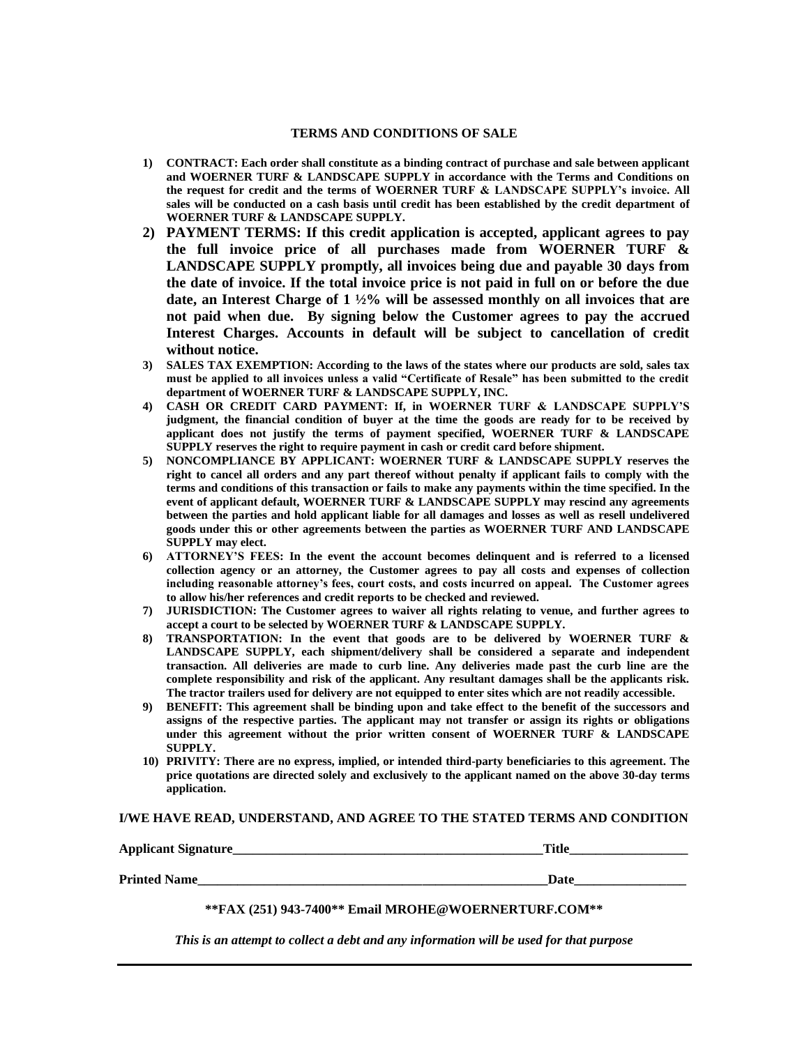### **TERMS AND CONDITIONS OF SALE**

- **1) CONTRACT: Each order shall constitute as a binding contract of purchase and sale between applicant and WOERNER TURF & LANDSCAPE SUPPLY in accordance with the Terms and Conditions on the request for credit and the terms of WOERNER TURF & LANDSCAPE SUPPLY's invoice. All sales will be conducted on a cash basis until credit has been established by the credit department of WOERNER TURF & LANDSCAPE SUPPLY.**
- **2) PAYMENT TERMS: If this credit application is accepted, applicant agrees to pay the full invoice price of all purchases made from WOERNER TURF & LANDSCAPE SUPPLY promptly, all invoices being due and payable 30 days from the date of invoice. If the total invoice price is not paid in full on or before the due date, an Interest Charge of 1 ½% will be assessed monthly on all invoices that are not paid when due. By signing below the Customer agrees to pay the accrued Interest Charges. Accounts in default will be subject to cancellation of credit without notice.**
- **3) SALES TAX EXEMPTION: According to the laws of the states where our products are sold, sales tax must be applied to all invoices unless a valid "Certificate of Resale" has been submitted to the credit department of WOERNER TURF & LANDSCAPE SUPPLY, INC.**
- **4) CASH OR CREDIT CARD PAYMENT: If, in WOERNER TURF & LANDSCAPE SUPPLY'S judgment, the financial condition of buyer at the time the goods are ready for to be received by applicant does not justify the terms of payment specified, WOERNER TURF & LANDSCAPE SUPPLY reserves the right to require payment in cash or credit card before shipment.**
- **5) NONCOMPLIANCE BY APPLICANT: WOERNER TURF & LANDSCAPE SUPPLY reserves the right to cancel all orders and any part thereof without penalty if applicant fails to comply with the terms and conditions of this transaction or fails to make any payments within the time specified. In the event of applicant default, WOERNER TURF & LANDSCAPE SUPPLY may rescind any agreements between the parties and hold applicant liable for all damages and losses as well as resell undelivered goods under this or other agreements between the parties as WOERNER TURF AND LANDSCAPE SUPPLY may elect.**
- **6) ATTORNEY'S FEES: In the event the account becomes delinquent and is referred to a licensed collection agency or an attorney, the Customer agrees to pay all costs and expenses of collection including reasonable attorney's fees, court costs, and costs incurred on appeal. The Customer agrees to allow his/her references and credit reports to be checked and reviewed.**
- **7) JURISDICTION: The Customer agrees to waiver all rights relating to venue, and further agrees to accept a court to be selected by WOERNER TURF & LANDSCAPE SUPPLY.**
- **8) TRANSPORTATION: In the event that goods are to be delivered by WOERNER TURF & LANDSCAPE SUPPLY, each shipment/delivery shall be considered a separate and independent transaction. All deliveries are made to curb line. Any deliveries made past the curb line are the complete responsibility and risk of the applicant. Any resultant damages shall be the applicants risk. The tractor trailers used for delivery are not equipped to enter sites which are not readily accessible.**
- **9) BENEFIT: This agreement shall be binding upon and take effect to the benefit of the successors and assigns of the respective parties. The applicant may not transfer or assign its rights or obligations under this agreement without the prior written consent of WOERNER TURF & LANDSCAPE SUPPLY.**
- **10) PRIVITY: There are no express, implied, or intended third-party beneficiaries to this agreement. The price quotations are directed solely and exclusively to the applicant named on the above 30-day terms application.**

#### **I/WE HAVE READ, UNDERSTAND, AND AGREE TO THE STATED TERMS AND CONDITION**

| <b>Applicant Signature_</b> | Title |
|-----------------------------|-------|
| <b>Printed Name</b>         | Date  |

## **\*\*FAX (251) 943-7400\*\* Email MROHE@WOERNERTURF.COM\*\***

*This is an attempt to collect a debt and any information will be used for that purpose*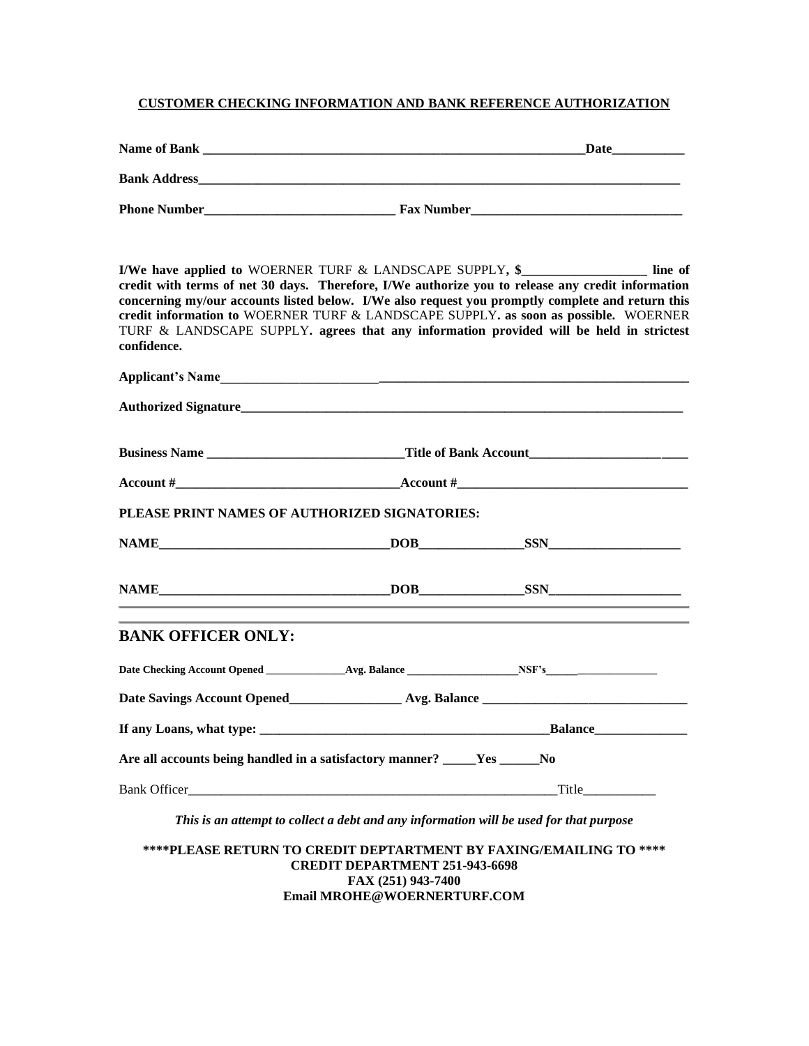## **CUSTOMER CHECKING INFORMATION AND BANK REFERENCE AUTHORIZATION**

| confidence.                                                                | I/We have applied to WOERNER TURF & LANDSCAPE SUPPLY, \$<br>credit with terms of net 30 days. Therefore, I/We authorize you to release any credit information<br>concerning my/our accounts listed below. I/We also request you promptly complete and return this<br>credit information to WOERNER TURF & LANDSCAPE SUPPLY. as soon as possible. WOERNER<br>TURF & LANDSCAPE SUPPLY. agrees that any information provided will be held in strictest |
|----------------------------------------------------------------------------|-----------------------------------------------------------------------------------------------------------------------------------------------------------------------------------------------------------------------------------------------------------------------------------------------------------------------------------------------------------------------------------------------------------------------------------------------------|
|                                                                            |                                                                                                                                                                                                                                                                                                                                                                                                                                                     |
|                                                                            |                                                                                                                                                                                                                                                                                                                                                                                                                                                     |
|                                                                            |                                                                                                                                                                                                                                                                                                                                                                                                                                                     |
|                                                                            |                                                                                                                                                                                                                                                                                                                                                                                                                                                     |
| PLEASE PRINT NAMES OF AUTHORIZED SIGNATORIES:                              |                                                                                                                                                                                                                                                                                                                                                                                                                                                     |
| NAME DOB SSN SSN                                                           |                                                                                                                                                                                                                                                                                                                                                                                                                                                     |
|                                                                            |                                                                                                                                                                                                                                                                                                                                                                                                                                                     |
| <b>BANK OFFICER ONLY:</b>                                                  |                                                                                                                                                                                                                                                                                                                                                                                                                                                     |
|                                                                            |                                                                                                                                                                                                                                                                                                                                                                                                                                                     |
|                                                                            |                                                                                                                                                                                                                                                                                                                                                                                                                                                     |
|                                                                            |                                                                                                                                                                                                                                                                                                                                                                                                                                                     |
| Are all accounts being handled in a satisfactory manner? _____Yes ______No |                                                                                                                                                                                                                                                                                                                                                                                                                                                     |
|                                                                            |                                                                                                                                                                                                                                                                                                                                                                                                                                                     |

*This is an attempt to collect a debt and any information will be used for that purpose*

**\*\*\*\*PLEASE RETURN TO CREDIT DEPTARTMENT BY FAXING/EMAILING TO \*\*\*\* CREDIT DEPARTMENT 251-943-6698 FAX (251) 943-7400 Email MROHE@WOERNERTURF.COM**